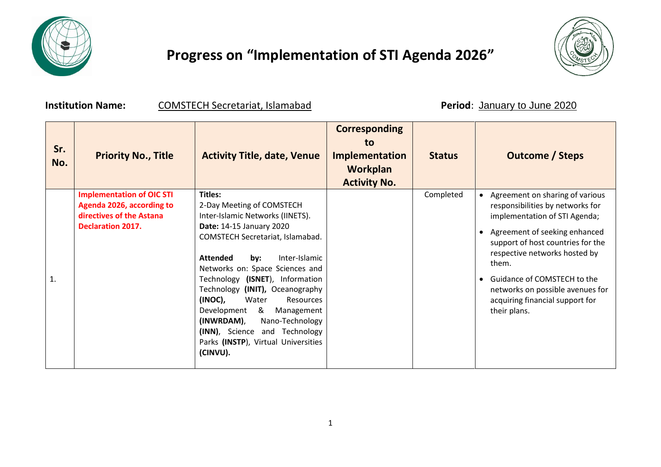

## **Progress on "Implementation of STI Agenda 2026"**



**Institution Name: COMSTECH Secretariat, Islamabad Period**: January to June 2020

| Sr.<br>No.     | <b>Priority No., Title</b>                                                                                            | <b>Activity Title, date, Venue</b>                                                                                                                                                                                                                                                                                                                                                                                                                                                                        | <b>Corresponding</b><br>to<br><b>Implementation</b><br><b>Workplan</b><br><b>Activity No.</b> | <b>Status</b> | <b>Outcome / Steps</b>                                                                                                                                                                                                                                                                                                                                  |
|----------------|-----------------------------------------------------------------------------------------------------------------------|-----------------------------------------------------------------------------------------------------------------------------------------------------------------------------------------------------------------------------------------------------------------------------------------------------------------------------------------------------------------------------------------------------------------------------------------------------------------------------------------------------------|-----------------------------------------------------------------------------------------------|---------------|---------------------------------------------------------------------------------------------------------------------------------------------------------------------------------------------------------------------------------------------------------------------------------------------------------------------------------------------------------|
| $\mathbf{1}$ . | <b>Implementation of OIC STI</b><br>Agenda 2026, according to<br>directives of the Astana<br><b>Declaration 2017.</b> | <b>Titles:</b><br>2-Day Meeting of COMSTECH<br>Inter-Islamic Networks (IINETS).<br><b>Date: 14-15 January 2020</b><br>COMSTECH Secretariat, Islamabad.<br>Inter-Islamic<br><b>Attended</b><br>by:<br>Networks on: Space Sciences and<br>Technology (ISNET), Information<br>Technology (INIT), Oceanography<br>(INOC),<br>Water<br><b>Resources</b><br>Development<br>&<br>Management<br>(INWRDAM),<br>Nano-Technology<br>(INN), Science and Technology<br>Parks (INSTP), Virtual Universities<br>(CINVU). |                                                                                               | Completed     | Agreement on sharing of various<br>responsibilities by networks for<br>implementation of STI Agenda;<br>Agreement of seeking enhanced<br>support of host countries for the<br>respective networks hosted by<br>them.<br>Guidance of COMSTECH to the<br>$\bullet$<br>networks on possible avenues for<br>acquiring financial support for<br>their plans. |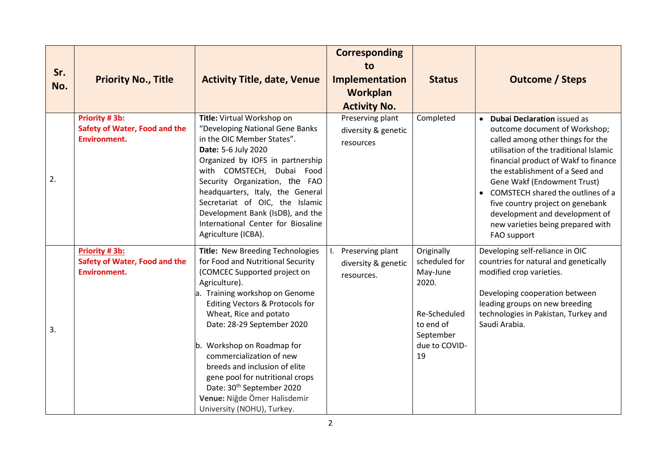| Sr.<br>No. | <b>Priority No., Title</b>                                                   | <b>Activity Title, date, Venue</b>                                                                                                                                                                                                                                                                                                                                                                                                                                                       | <b>Corresponding</b><br>to<br>Implementation<br>Workplan<br><b>Activity No.</b> | <b>Status</b>                                                                                                     | <b>Outcome / Steps</b>                                                                                                                                                                                                                                                                                                                                                                                                                                |
|------------|------------------------------------------------------------------------------|------------------------------------------------------------------------------------------------------------------------------------------------------------------------------------------------------------------------------------------------------------------------------------------------------------------------------------------------------------------------------------------------------------------------------------------------------------------------------------------|---------------------------------------------------------------------------------|-------------------------------------------------------------------------------------------------------------------|-------------------------------------------------------------------------------------------------------------------------------------------------------------------------------------------------------------------------------------------------------------------------------------------------------------------------------------------------------------------------------------------------------------------------------------------------------|
| 2.         | Priority #3b:<br>Safety of Water, Food and the<br><b>Environment.</b>        | Title: Virtual Workshop on<br>"Developing National Gene Banks<br>in the OIC Member States".<br>Date: 5-6 July 2020<br>Organized by IOFS in partnership<br>with COMSTECH, Dubai Food<br>Security Organization, the FAO<br>headquarters, Italy, the General<br>Secretariat of OIC, the Islamic<br>Development Bank (IsDB), and the<br>International Center for Biosaline<br>Agriculture (ICBA).                                                                                            | Preserving plant<br>diversity & genetic<br>resources                            | Completed                                                                                                         | <b>Dubai Declaration issued as</b><br>$\bullet$<br>outcome document of Workshop;<br>called among other things for the<br>utilisation of the traditional Islamic<br>financial product of Wakf to finance<br>the establishment of a Seed and<br>Gene Wakf (Endowment Trust)<br>COMSTECH shared the outlines of a<br>$\bullet$<br>five country project on genebank<br>development and development of<br>new varieties being prepared with<br>FAO support |
| 3.         | Priority #3b:<br><b>Safety of Water, Food and the</b><br><b>Environment.</b> | Title: New Breeding Technologies<br>for Food and Nutritional Security<br>(COMCEC Supported project on<br>Agriculture).<br>a. Training workshop on Genome<br>Editing Vectors & Protocols for<br>Wheat, Rice and potato<br>Date: 28-29 September 2020<br>b. Workshop on Roadmap for<br>commercialization of new<br>breeds and inclusion of elite<br>gene pool for nutritional crops<br>Date: 30 <sup>th</sup> September 2020<br>Venue: Niğde Ömer Halisdemir<br>University (NOHU), Turkey. | Preserving plant<br>Ι.<br>diversity & genetic<br>resources.                     | Originally<br>scheduled for<br>May-June<br>2020.<br>Re-Scheduled<br>to end of<br>September<br>due to COVID-<br>19 | Developing self-reliance in OIC<br>countries for natural and genetically<br>modified crop varieties.<br>Developing cooperation between<br>leading groups on new breeding<br>technologies in Pakistan, Turkey and<br>Saudi Arabia.                                                                                                                                                                                                                     |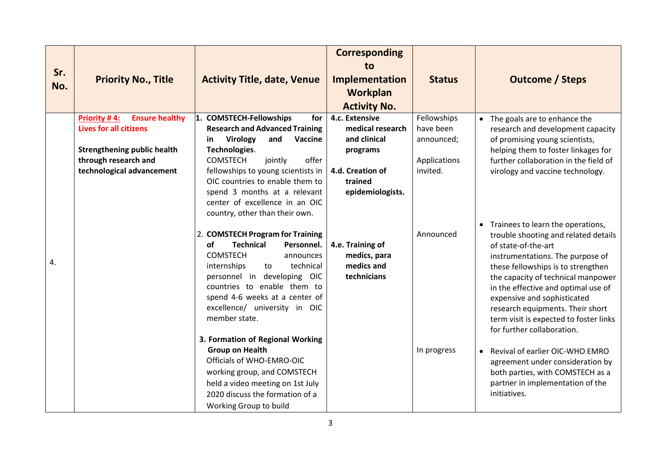| Sr.<br>No. | <b>Priority No., Title</b>                        | <b>Activity Title, date, Venue</b>                         | <b>Corresponding</b><br>to<br>Implementation<br>Workplan<br><b>Activity No.</b> | <b>Status</b>            | <b>Outcome / Steps</b>                                                           |
|------------|---------------------------------------------------|------------------------------------------------------------|---------------------------------------------------------------------------------|--------------------------|----------------------------------------------------------------------------------|
|            | Priority #4:<br><b>Ensure healthy</b>             | 1. COMSTECH-Fellowships<br>for                             | 4.c. Extensive                                                                  | Fellowships              | • The goals are to enhance the                                                   |
|            | <b>Lives for all citizens</b>                     | <b>Research and Advanced Training</b>                      | medical research                                                                | have been                | research and development capacity                                                |
|            |                                                   | and<br>Virology<br>Vaccine<br>in.                          | and clinical                                                                    | announced;               | of promising young scientists,                                                   |
|            | <b>Strengthening public health</b>                | Technologies.<br><b>COMSTECH</b>                           | programs                                                                        |                          | helping them to foster linkages for                                              |
|            | through research and<br>technological advancement | jointly<br>offer<br>fellowships to young scientists in     | 4.d. Creation of                                                                | Applications<br>invited. | further collaboration in the field of<br>virology and vaccine technology.        |
|            |                                                   | OIC countries to enable them to                            | trained                                                                         |                          |                                                                                  |
|            |                                                   | spend 3 months at a relevant                               | epidemiologists.                                                                |                          |                                                                                  |
|            |                                                   | center of excellence in an OIC                             |                                                                                 |                          |                                                                                  |
|            |                                                   | country, other than their own.                             |                                                                                 |                          |                                                                                  |
|            |                                                   |                                                            |                                                                                 |                          | Trainees to learn the operations,<br>$\bullet$                                   |
|            |                                                   | 2. COMSTECH Program for Training                           |                                                                                 | Announced                | trouble shooting and related details                                             |
|            |                                                   | of<br><b>Technical</b><br>Personnel.<br><b>COMSTECH</b>    | 4.e. Training of<br>medics, para                                                |                          | of state-of-the-art                                                              |
| 4.         |                                                   | announces<br>technical<br>internships<br>to                | medics and                                                                      |                          | instrumentations. The purpose of<br>these fellowships is to strengthen           |
|            |                                                   | personnel in developing OIC                                | technicians                                                                     |                          | the capacity of technical manpower                                               |
|            |                                                   | countries to enable them to                                |                                                                                 |                          | in the effective and optimal use of                                              |
|            |                                                   | spend 4-6 weeks at a center of                             |                                                                                 |                          | expensive and sophisticated                                                      |
|            |                                                   | excellence/ university in OIC                              |                                                                                 |                          | research equipments. Their short                                                 |
|            |                                                   | member state.                                              |                                                                                 |                          | term visit is expected to foster links                                           |
|            |                                                   |                                                            |                                                                                 |                          | for further collaboration.                                                       |
|            |                                                   | 3. Formation of Regional Working<br><b>Group on Health</b> |                                                                                 | In progress              |                                                                                  |
|            |                                                   | Officials of WHO-EMRO-OIC                                  |                                                                                 |                          | Revival of earlier OIC-WHO EMRO<br>$\bullet$<br>agreement under consideration by |
|            |                                                   | working group, and COMSTECH                                |                                                                                 |                          | both parties, with COMSTECH as a                                                 |
|            |                                                   | held a video meeting on 1st July                           |                                                                                 |                          | partner in implementation of the                                                 |
|            |                                                   | 2020 discuss the formation of a                            |                                                                                 |                          | initiatives.                                                                     |
|            |                                                   | Working Group to build                                     |                                                                                 |                          |                                                                                  |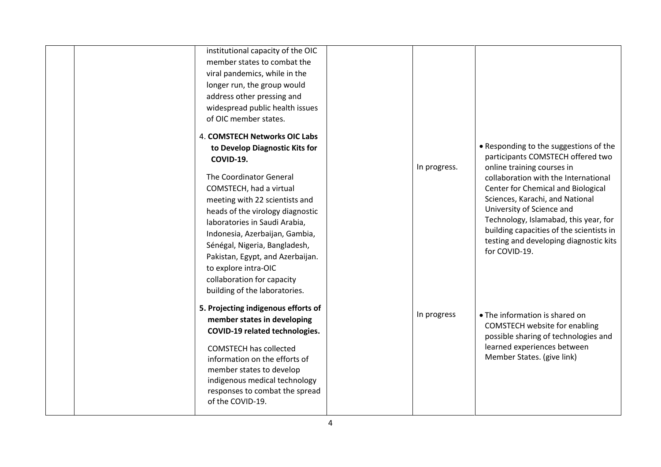| institutional capacity of the OIC<br>member states to combat the<br>viral pandemics, while in the<br>longer run, the group would<br>address other pressing and<br>widespread public health issues<br>of OIC member states.                                                                                                                                               |              |                                                                                                                                                                                                                                                                                                                                                                                                         |
|--------------------------------------------------------------------------------------------------------------------------------------------------------------------------------------------------------------------------------------------------------------------------------------------------------------------------------------------------------------------------|--------------|---------------------------------------------------------------------------------------------------------------------------------------------------------------------------------------------------------------------------------------------------------------------------------------------------------------------------------------------------------------------------------------------------------|
| 4. COMSTECH Networks OIC Labs<br>to Develop Diagnostic Kits for<br>COVID-19.<br>The Coordinator General<br>COMSTECH, had a virtual<br>meeting with 22 scientists and<br>heads of the virology diagnostic<br>laboratories in Saudi Arabia,<br>Indonesia, Azerbaijan, Gambia,<br>Sénégal, Nigeria, Bangladesh,<br>Pakistan, Egypt, and Azerbaijan.<br>to explore intra-OIC | In progress. | • Responding to the suggestions of the<br>participants COMSTECH offered two<br>online training courses in<br>collaboration with the International<br>Center for Chemical and Biological<br>Sciences, Karachi, and National<br>University of Science and<br>Technology, Islamabad, this year, for<br>building capacities of the scientists in<br>testing and developing diagnostic kits<br>for COVID-19. |
| collaboration for capacity<br>building of the laboratories.<br>5. Projecting indigenous efforts of<br>member states in developing<br>COVID-19 related technologies.<br><b>COMSTECH has collected</b><br>information on the efforts of<br>member states to develop<br>indigenous medical technology<br>responses to combat the spread<br>of the COVID-19.                 | In progress  | • The information is shared on<br><b>COMSTECH website for enabling</b><br>possible sharing of technologies and<br>learned experiences between<br>Member States. (give link)                                                                                                                                                                                                                             |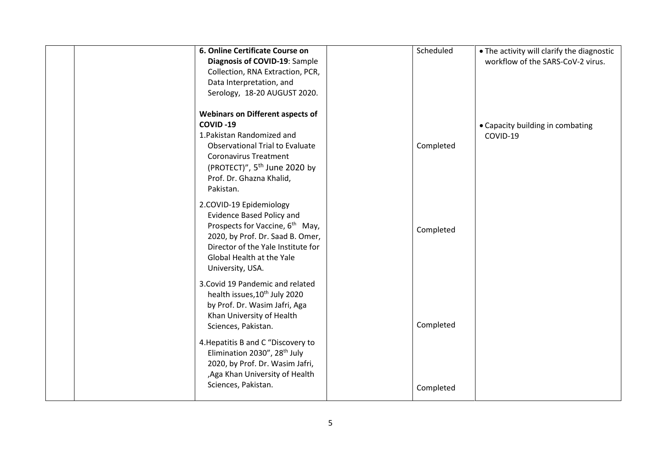|  | 6. Online Certificate Course on<br>Diagnosis of COVID-19: Sample<br>Collection, RNA Extraction, PCR,<br>Data Interpretation, and<br>Serology, 18-20 AUGUST 2020.                                                                                 | Scheduled | . The activity will clarify the diagnostic<br>workflow of the SARS-CoV-2 virus. |
|--|--------------------------------------------------------------------------------------------------------------------------------------------------------------------------------------------------------------------------------------------------|-----------|---------------------------------------------------------------------------------|
|  | <b>Webinars on Different aspects of</b><br>COVID-19<br>1. Pakistan Randomized and<br><b>Observational Trial to Evaluate</b><br><b>Coronavirus Treatment</b><br>(PROTECT)", 5 <sup>th</sup> June 2020 by<br>Prof. Dr. Ghazna Khalid,<br>Pakistan. | Completed | • Capacity building in combating<br>COVID-19                                    |
|  | 2.COVID-19 Epidemiology<br><b>Evidence Based Policy and</b><br>Prospects for Vaccine, 6 <sup>th</sup> May,<br>2020, by Prof. Dr. Saad B. Omer,<br>Director of the Yale Institute for<br>Global Health at the Yale<br>University, USA.            | Completed |                                                                                 |
|  | 3. Covid 19 Pandemic and related<br>health issues, 10 <sup>th</sup> July 2020<br>by Prof. Dr. Wasim Jafri, Aga<br>Khan University of Health<br>Sciences, Pakistan.                                                                               | Completed |                                                                                 |
|  | 4. Hepatitis B and C "Discovery to<br>Elimination 2030", 28 <sup>th</sup> July<br>2020, by Prof. Dr. Wasim Jafri,<br>, Aga Khan University of Health<br>Sciences, Pakistan.                                                                      | Completed |                                                                                 |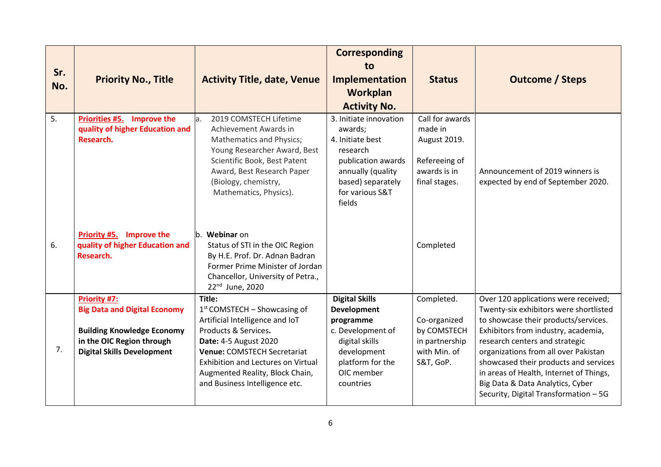| Sr.<br>No. | <b>Priority No., Title</b>                                                                                                                                        | <b>Activity Title, date, Venue</b>                                                                                                                                                                                                                                                   | <b>Corresponding</b><br>tο<br>Implementation<br>Workplan<br><b>Activity No.</b>                                                                                | <b>Status</b>                                                                                | <b>Outcome / Steps</b>                                                                                                                                                                                                                                                                                                                                                                                   |
|------------|-------------------------------------------------------------------------------------------------------------------------------------------------------------------|--------------------------------------------------------------------------------------------------------------------------------------------------------------------------------------------------------------------------------------------------------------------------------------|----------------------------------------------------------------------------------------------------------------------------------------------------------------|----------------------------------------------------------------------------------------------|----------------------------------------------------------------------------------------------------------------------------------------------------------------------------------------------------------------------------------------------------------------------------------------------------------------------------------------------------------------------------------------------------------|
| 5.         | <b>Priorities #5.</b><br><b>Improve the</b><br>quality of higher Education and<br>Research.                                                                       | 2019 COMSTECH Lifetime<br>a.<br>Achievement Awards in<br>Mathematics and Physics;<br>Young Researcher Award, Best<br>Scientific Book, Best Patent<br>Award, Best Research Paper<br>(Biology, chemistry,<br>Mathematics, Physics).                                                    | 3. Initiate innovation<br>awards;<br>4. Initiate best<br>research<br>publication awards<br>annually (quality<br>based) separately<br>for various S&T<br>fields | Call for awards<br>made in<br>August 2019.<br>Refereeing of<br>awards is in<br>final stages. | Announcement of 2019 winners is<br>expected by end of September 2020.                                                                                                                                                                                                                                                                                                                                    |
| 6.         | Improve the<br>Priority #5.<br>quality of higher Education and<br>Research.                                                                                       | b. Webinar on<br>Status of STI in the OIC Region<br>By H.E. Prof. Dr. Adnan Badran<br>Former Prime Minister of Jordan<br>Chancellor, University of Petra.,<br>22 <sup>nd</sup> June, 2020                                                                                            |                                                                                                                                                                | Completed                                                                                    |                                                                                                                                                                                                                                                                                                                                                                                                          |
| 7.         | <b>Priority #7:</b><br><b>Big Data and Digital Economy</b><br><b>Building Knowledge Economy</b><br>in the OIC Region through<br><b>Digital Skills Development</b> | Title:<br>$1st$ COMSTECH – Showcasing of<br>Artificial Intelligence and IoT<br>Products & Services.<br>Date: 4-5 August 2020<br><b>Venue: COMSTECH Secretariat</b><br><b>Exhibition and Lectures on Virtual</b><br>Augmented Reality, Block Chain,<br>and Business Intelligence etc. | <b>Digital Skills</b><br><b>Development</b><br>programme<br>c. Development of<br>digital skills<br>development<br>platform for the<br>OIC member<br>countries  | Completed.<br>Co-organized<br>by COMSTECH<br>in partnership<br>with Min. of<br>S&T, GoP.     | Over 120 applications were received;<br>Twenty-six exhibitors were shortlisted<br>to showcase their products/services.<br>Exhibitors from industry, academia,<br>research centers and strategic<br>organizations from all over Pakistan<br>showcased their products and services<br>in areas of Health, Internet of Things,<br>Big Data & Data Analytics, Cyber<br>Security, Digital Transformation - 5G |